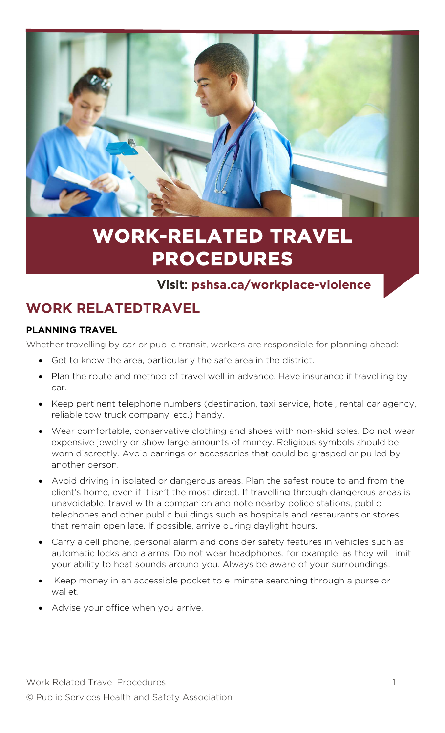

# **WORK-RELATED TRAVEL PROCEDURES**

### Visit: pshsa.ca/workplace-violence

## WORK RELATEDTRAVEL

#### PLANNING TRAVEL

Whether travelling by car or public transit, workers are responsible for planning ahead:

- Get to know the area, particularly the safe area in the district.
- Plan the route and method of travel well in advance. Have insurance if travelling by car.
- Keep pertinent telephone numbers (destination, taxi service, hotel, rental car agency, reliable tow truck company, etc.) handy.
- Wear comfortable, conservative clothing and shoes with non-skid soles. Do not wear expensive jewelry or show large amounts of money. Religious symbols should be worn discreetly. Avoid earrings or accessories that could be grasped or pulled by another person.
- Avoid driving in isolated or dangerous areas. Plan the safest route to and from the client's home, even if it isn't the most direct. If travelling through dangerous areas is unavoidable, travel with a companion and note nearby police stations, public telephones and other public buildings such as hospitals and restaurants or stores that remain open late. If possible, arrive during daylight hours.
- Carry a cell phone, personal alarm and consider safety features in vehicles such as automatic locks and alarms. Do not wear headphones, for example, as they will limit your ability to heat sounds around you. Always be aware of your surroundings.
- Keep money in an accessible pocket to eliminate searching through a purse or wallet.
- Advise your office when you arrive.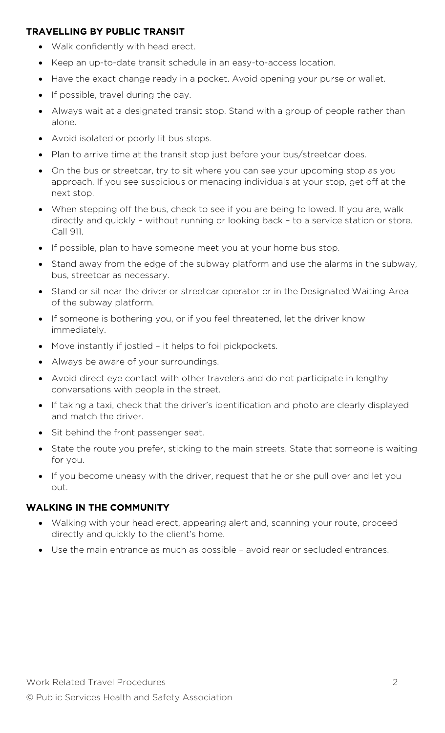#### TRAVELLING BY PUBLIC TRANSIT

- Walk confidently with head erect.
- Keep an up-to-date transit schedule in an easy-to-access location.
- Have the exact change ready in a pocket. Avoid opening your purse or wallet.
- If possible, travel during the day.
- Always wait at a designated transit stop. Stand with a group of people rather than alone.
- Avoid isolated or poorly lit bus stops.
- Plan to arrive time at the transit stop just before your bus/streetcar does.
- On the bus or streetcar, try to sit where you can see your upcoming stop as you approach. If you see suspicious or menacing individuals at your stop, get off at the next stop.
- When stepping off the bus, check to see if you are being followed. If you are, walk directly and quickly – without running or looking back – to a service station or store. Call 911.
- If possible, plan to have someone meet you at your home bus stop.
- Stand away from the edge of the subway platform and use the alarms in the subway, bus, streetcar as necessary.
- Stand or sit near the driver or streetcar operator or in the Designated Waiting Area of the subway platform.
- If someone is bothering you, or if you feel threatened, let the driver know immediately.
- Move instantly if jostled it helps to foil pickpockets.
- Always be aware of your surroundings.
- Avoid direct eye contact with other travelers and do not participate in lengthy conversations with people in the street.
- If taking a taxi, check that the driver's identification and photo are clearly displayed and match the driver.
- Sit behind the front passenger seat.
- State the route you prefer, sticking to the main streets. State that someone is waiting for you.
- If you become uneasy with the driver, request that he or she pull over and let you out.

#### WALKING IN THE COMMUNITY

- Walking with your head erect, appearing alert and, scanning your route, proceed directly and quickly to the client's home.
- Use the main entrance as much as possible avoid rear or secluded entrances.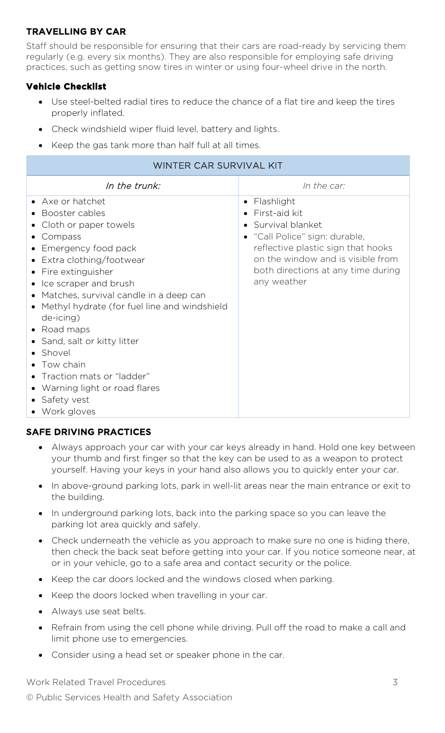#### TRAVELLING BY CAR

Staff should be responsible for ensuring that their cars are road-ready by servicing them regularly (e.g. every six months). They are also responsible for employing safe driving practices, such as getting snow tires in winter or using four-wheel drive in the north.

#### **Vehicle Checklist**

- Use steel-belted radial tires to reduce the chance of a flat tire and keep the tires properly inflated.
- Check windshield wiper fluid level, battery and lights.
- Keep the gas tank more than half full at all times.

#### WINTER CAR SURVIVAL KIT

| In the trunk:                                                                                                                                                                                                                                                                                                      | In the car:                                                                                                                                                     |
|--------------------------------------------------------------------------------------------------------------------------------------------------------------------------------------------------------------------------------------------------------------------------------------------------------------------|-----------------------------------------------------------------------------------------------------------------------------------------------------------------|
| • Axe or hatchet<br>Booster cables<br>Cloth or paper towels<br>Compass<br>$\bullet$<br>Emergency food pack<br>Extra clothing/footwear                                                                                                                                                                              | Flashlight<br>٠<br>First-aid kit<br>Survival blanket<br>"Call Police" sign: durable,<br>reflective plastic sign that hooks<br>on the window and is visible from |
| Fire extinguisher<br>Ice scraper and brush<br>Matches, survival candle in a deep can<br>Methyl hydrate (for fuel line and windshield<br>de-icing)<br>• Road maps<br>Sand, salt or kitty litter<br>Shovel<br>Tow chain<br>Traction mats or "ladder"<br>• Warning light or road flares<br>Safety vest<br>Work gloves | both directions at any time during<br>any weather                                                                                                               |

#### SAFE DRIVING PRACTICES

- Always approach your car with your car keys already in hand. Hold one key between your thumb and first finger so that the key can be used to as a weapon to protect yourself. Having your keys in your hand also allows you to quickly enter your car.
- In above-ground parking lots, park in well-lit areas near the main entrance or exit to the building.
- In underground parking lots, back into the parking space so you can leave the parking lot area quickly and safely.
- Check underneath the vehicle as you approach to make sure no one is hiding there, then check the back seat before getting into your car. If you notice someone near, at or in your vehicle, go to a safe area and contact security or the police.
- Keep the car doors locked and the windows closed when parking.
- Keep the doors locked when travelling in your car.
- Always use seat belts.
- Refrain from using the cell phone while driving. Pull off the road to make a call and limit phone use to emergencies.
- Consider using a head set or speaker phone in the car.

Work Related Travel Procedures 3 © Public Services Health and Safety Association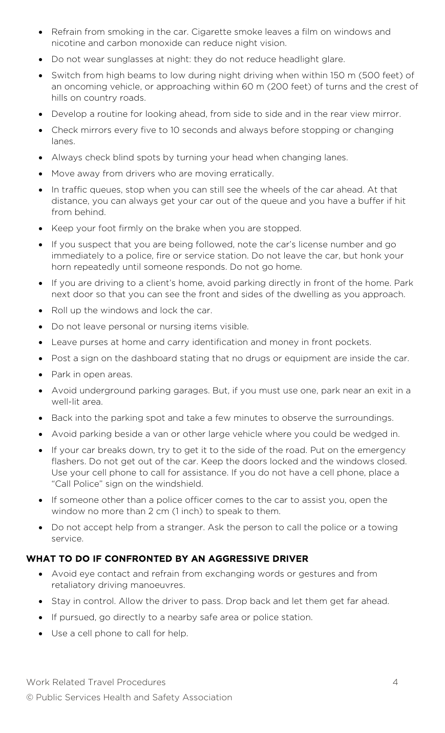- Refrain from smoking in the car. Cigarette smoke leaves a film on windows and nicotine and carbon monoxide can reduce night vision.
- Do not wear sunglasses at night: they do not reduce headlight glare.
- Switch from high beams to low during night driving when within 150 m (500 feet) of an oncoming vehicle, or approaching within 60 m (200 feet) of turns and the crest of hills on country roads.
- Develop a routine for looking ahead, from side to side and in the rear view mirror.
- Check mirrors every five to 10 seconds and always before stopping or changing lanes.
- Always check blind spots by turning your head when changing lanes.
- Move away from drivers who are moving erratically.
- In traffic queues, stop when you can still see the wheels of the car ahead. At that distance, you can always get your car out of the queue and you have a buffer if hit from behind.
- Keep your foot firmly on the brake when you are stopped.
- If you suspect that you are being followed, note the car's license number and go immediately to a police, fire or service station. Do not leave the car, but honk your horn repeatedly until someone responds. Do not go home.
- If you are driving to a client's home, avoid parking directly in front of the home. Park next door so that you can see the front and sides of the dwelling as you approach.
- Roll up the windows and lock the car.
- Do not leave personal or nursing items visible.
- Leave purses at home and carry identification and money in front pockets.
- Post a sign on the dashboard stating that no drugs or equipment are inside the car.
- Park in open areas.
- Avoid underground parking garages. But, if you must use one, park near an exit in a well-lit area.
- Back into the parking spot and take a few minutes to observe the surroundings.
- Avoid parking beside a van or other large vehicle where you could be wedged in.
- If your car breaks down, try to get it to the side of the road. Put on the emergency flashers. Do not get out of the car. Keep the doors locked and the windows closed. Use your cell phone to call for assistance. If you do not have a cell phone, place a "Call Police" sign on the windshield.
- If someone other than a police officer comes to the car to assist you, open the window no more than 2 cm (1 inch) to speak to them.
- Do not accept help from a stranger. Ask the person to call the police or a towing service.

#### WHAT TO DO IF CONFRONTED BY AN AGGRESSIVE DRIVER

- Avoid eye contact and refrain from exchanging words or gestures and from retaliatory driving manoeuvres.
- Stay in control. Allow the driver to pass. Drop back and let them get far ahead.
- If pursued, go directly to a nearby safe area or police station.
- Use a cell phone to call for help.